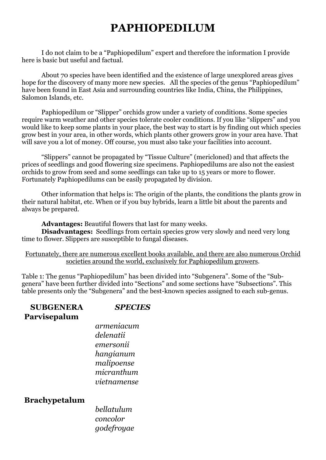# **PAPHIOPEDILUM**

I do not claim to be a "Paphiopedilum" expert and therefore the information I provide here is basic but useful and factual.

About 70 species have been identified and the existence of large unexplored areas gives hope for the discovery of many more new species. All the species of the genus "Paphiopedilum" have been found in East Asia and surrounding countries like India, China, the Philippines, Salomon Islands, etc.

Paphiopedilum or "Slipper" orchids grow under a variety of conditions. Some species require warm weather and other species tolerate cooler conditions. If you like "slippers" and you would like to keep some plants in your place, the best way to start is by finding out which species grow best in your area, in other words, which plants other growers grow in your area have. That will save you a lot of money. Off course, you must also take your facilities into account.

"Slippers" cannot be propagated by "Tissue Culture" (mericloned) and that affects the prices of seedlings and good flowering size specimens. Paphiopedilums are also not the easiest orchids to grow from seed and some seedlings can take up to 15 years or more to flower. Fortunately Paphiopedilums can be easily propagated by division.

Other information that helps is: The origin of the plants, the conditions the plants grow in their natural habitat, etc. When or if you buy hybrids, learn a little bit about the parents and always be prepared.

**Advantages:** Beautiful flowers that last for many weeks.

**Disadvantages:** Seedlings from certain species grow very slowly and need very long time to flower. Slippers are susceptible to fungal diseases.

Fortunately, there are numerous excellent books available, and there are also numerous Orchid societies around the world, exclusively for Paphiopedilum growers.

Table 1: The genus "Paphiopedilum" has been divided into "Subgenera". Some of the "Subgenera" have been further divided into "Sections" and some sections have "Subsections". This table presents only the "Subgenera" and the best-known species assigned to each sub-genus.

#### **SUBGENERA** *SPECIES* **Parvisepalum**

*armeniacum delenatii emersonii hangianum malipoense micranthum vietnamense*

#### **Brachypetalum**

*bellatulum concolor godefroyae*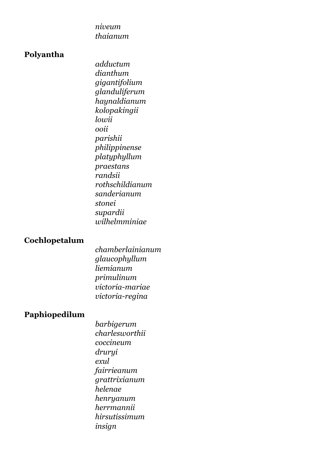*niveum thaianum*

#### **Polyantha**

*adductum dianthum gigantifolium glanduliferum haynaldianum kolopakingii lowii ooii parishii philippinense platyphyllum praestans randsii rothschildianum sanderianum stonei supardii wilhelmminiae*

### **Cochlopetalum**

*chamberlainianum glaucophyllum liemianum primulinum victoria-mariae victoria-regina*

# **Paphiopedilum**

*barbigerum charlesworthii coccineum druryi exul fairrieanum grattrixianum helenae henryanum herrmannii hirsutissimum insign*